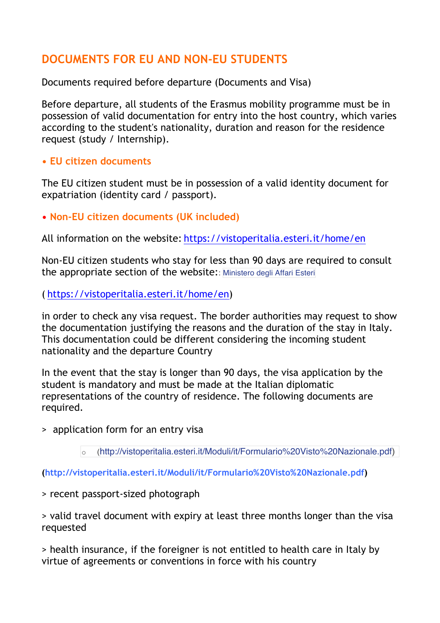## **DOCUMENTS FOR EU AND NON-EU STUDENTS**

Documents required before departure (Documents and Visa)

Before departure, all students of the Erasmus mobility programme must be in possession of valid documentation for entry into the host country, which varies according to the student's nationality, duration and reason for the residence request (study / Internship).

## **• EU citizen documents**

The EU citizen student must be in possession of a valid identity document for expatriation (identity card / passport).

**• Non-EU citizen documents (UK included)**

All information on the website: https://vistoperitalia.esteri.it/home/en

Non-EU citizen students who stay for less than 90 days are required to consult the appropriate section of the website:: Ministero degli Affari Esteri

( https://vistoperitalia.esteri.it/home/en)

in order to check any visa request. The border authorities may request to show the documentation justifying the reasons and the duration of the stay in Italy. This documentation could be different considering the incoming student nationality and the departure Country

In the event that the stay is longer than 90 days, the visa application by the student is mandatory and must be made at the Italian diplomatic representations of the country of residence. The following documents are required.

> application form for an entry visa

o (http://vistoperitalia.esteri.it/Moduli/it/Formulario%20Visto%20Nazionale.pdf)

**(http://vistoperitalia.esteri.it/Moduli/it/Formulario%20Visto%20Nazionale.pdf)**

## > recent passport-sized photograph

> valid travel document with expiry at least three months longer than the visa requested

> health insurance, if the foreigner is not entitled to health care in Italy by virtue of agreements or conventions in force with his country